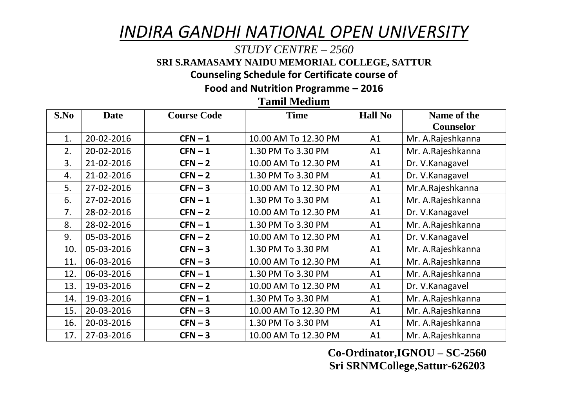## *INDIRA GANDHI NATIONAL OPEN UNIVERSITY*

## *STUDY CENTRE – 2560*

**SRI S.RAMASAMY NAIDU MEMORIAL COLLEGE, SATTUR**

**Counseling Schedule for Certificate course of** 

**Food and Nutrition Programme – 2016**

**Tamil Medium**

| S.No | <b>Date</b> | <b>Course Code</b> | <b>Time</b>          | <b>Hall No</b> | Name of the       |
|------|-------------|--------------------|----------------------|----------------|-------------------|
|      |             |                    |                      |                | <b>Counselor</b>  |
| 1.   | 20-02-2016  | $CFN-1$            | 10.00 AM To 12.30 PM | A1             | Mr. A.Rajeshkanna |
| 2.   | 20-02-2016  | $CFN-1$            | 1.30 PM To 3.30 PM   | A1             | Mr. A.Rajeshkanna |
| 3.   | 21-02-2016  | $CFN - 2$          | 10.00 AM To 12.30 PM | A1             | Dr. V.Kanagavel   |
| 4.   | 21-02-2016  | $CFN-2$            | 1.30 PM To 3.30 PM   | A1             | Dr. V.Kanagavel   |
| 5.   | 27-02-2016  | $CFN - 3$          | 10.00 AM To 12.30 PM | A1             | Mr.A.Rajeshkanna  |
| 6.   | 27-02-2016  | $CFN-1$            | 1.30 PM To 3.30 PM   | A1             | Mr. A.Rajeshkanna |
| 7.   | 28-02-2016  | $CFN - 2$          | 10.00 AM To 12.30 PM | A1             | Dr. V.Kanagavel   |
| 8.   | 28-02-2016  | $CFN-1$            | 1.30 PM To 3.30 PM   | A1             | Mr. A.Rajeshkanna |
| 9.   | 05-03-2016  | $CFN-2$            | 10.00 AM To 12.30 PM | A1             | Dr. V.Kanagavel   |
| 10.  | 05-03-2016  | $CFN - 3$          | 1.30 PM To 3.30 PM   | A1             | Mr. A.Rajeshkanna |
| 11.  | 06-03-2016  | $CFN - 3$          | 10.00 AM To 12.30 PM | A1             | Mr. A.Rajeshkanna |
| 12.  | 06-03-2016  | $CFN-1$            | 1.30 PM To 3.30 PM   | A1             | Mr. A.Rajeshkanna |
| 13.  | 19-03-2016  | $CFN - 2$          | 10.00 AM To 12.30 PM | A1             | Dr. V.Kanagavel   |
| 14.  | 19-03-2016  | $CFN-1$            | 1.30 PM To 3.30 PM   | A1             | Mr. A.Rajeshkanna |
| 15.  | 20-03-2016  | $CFN - 3$          | 10.00 AM To 12.30 PM | A1             | Mr. A.Rajeshkanna |
| 16.  | 20-03-2016  | $CFN - 3$          | 1.30 PM To 3.30 PM   | A1             | Mr. A.Rajeshkanna |
| 17.  | 27-03-2016  | $CFN - 3$          | 10.00 AM To 12.30 PM | A1             | Mr. A.Rajeshkanna |

**Co-Ordinator,IGNOU – SC-2560 Sri SRNMCollege,Sattur-626203**